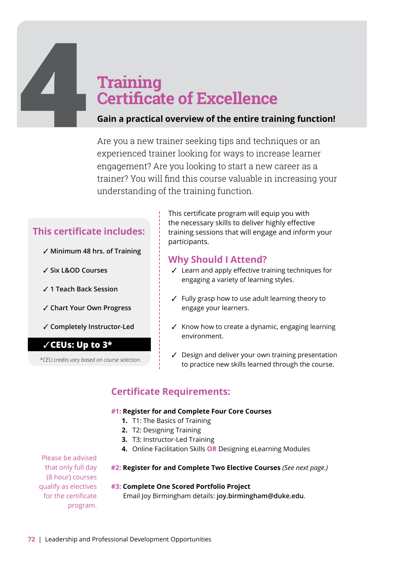# **4 4 Certifica**<br>**4 Gain a practical**<br>Are you a new tr **Certificate of Excellence**

## **Gain a practical overview of the entire training function!**

Are you a new trainer seeking tips and techniques or an experienced trainer looking for ways to increase learner engagement? Are you looking to start a new career as a trainer? You will find this course valuable in increasing your understanding of the training function.

# **This certificate includes:**

- ✓ **Minimum 48 hrs. of Training**
- ✓ **Six L&OD Courses**
- ✓ **1 Teach Back Session**
- ✓ **Chart Your Own Progress**
- ✓ **Completely Instructor-Led**

# ✓**CEUs: Up to 3\***

*\*CEU credits vary based on course selection.* 

This certificate program will equip you with the necessary skills to deliver highly effective training sessions that will engage and inform your participants.

# **Why Should I Attend?**

- ✓ Learn and apply effective training techniques for engaging a variety of learning styles.
- ✓ Fully grasp how to use adult learning theory to engage your learners.
- ✓ Know how to create a dynamic, engaging learning environment.
- ✓ Design and deliver your own training presentation to practice new skills learned through the course.

# **Certificate Requirements:**

#### **#1: Register for and Complete Four Core Courses**

- **1.** T1: The Basics of Training
- **2.** T2: Designing Training
- **3.** T3: Instructor-Led Training
- **4.** Online Facilitation Skills **OR** Designing eLearning Modules

Please be advised that only full day (8 hour) courses qualify as electives for the certificate program.

#### **#2: Register for and Complete Two Elective Courses** *(See next page.)*

#### **#3: Complete One Scored Portfolio Project**

Email Joy Birmingham details: **[joy.birmingham@duke.edu](mailto:joy.birmingham@duke.edu)**.